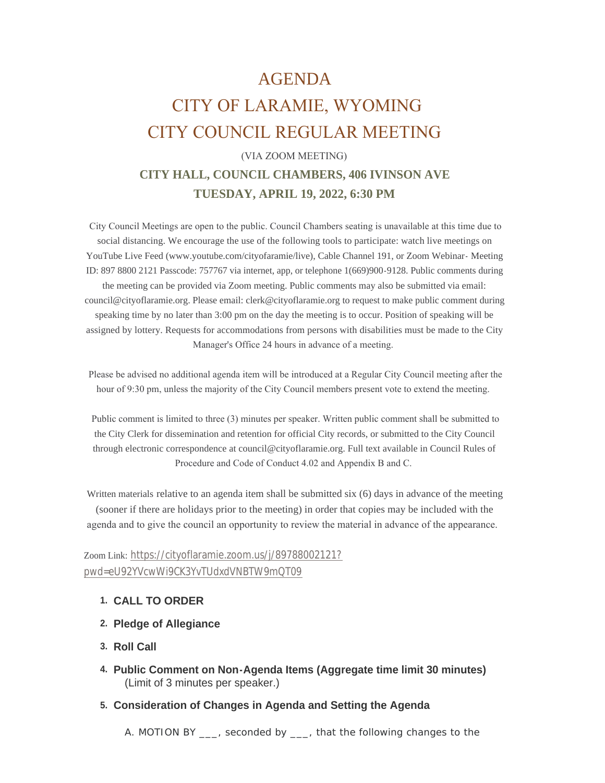# AGENDA CITY OF LARAMIE, WYOMING CITY COUNCIL REGULAR MEETING

# (VIA ZOOM MEETING) **CITY HALL, COUNCIL CHAMBERS, 406 IVINSON AVE TUESDAY, APRIL 19, 2022, 6:30 PM**

 City Council Meetings are open to the public. Council Chambers seating is unavailable at this time due to social distancing. We encourage the use of the following tools to participate: watch live meetings on YouTube Live Feed (www.youtube.com/cityofaramie/live), Cable Channel 191, or Zoom Webinar- Meeting ID: 897 8800 2121 Passcode: 757767 via internet, app, or telephone 1(669)900-9128. Public comments during the meeting can be provided via Zoom meeting. Public comments may also be submitted via email: council@cityoflaramie.org. Please email: clerk@cityoflaramie.org to request to make public comment during speaking time by no later than 3:00 pm on the day the meeting is to occur. Position of speaking will be assigned by lottery. Requests for accommodations from persons with disabilities must be made to the City Manager's Office 24 hours in advance of a meeting.

 Please be advised no additional agenda item will be introduced at a Regular City Council meeting after the hour of 9:30 pm, unless the majority of the City Council members present vote to extend the meeting.

 Public comment is limited to three (3) minutes per speaker. Written public comment shall be submitted to the City Clerk for dissemination and retention for official City records, or submitted to the City Council through electronic correspondence at council@cityoflaramie.org. Full text available in Council Rules of Procedure and Code of Conduct 4.02 and Appendix B and C.

Written materials relative to an agenda item shall be submitted six (6) days in advance of the meeting (sooner if there are holidays prior to the meeting) in order that copies may be included with the agenda and to give the council an opportunity to review the material in advance of the appearance.

## Zoom Link: [https://cityoflaramie.zoom.us/j/89788002121?](https://cityoflaramie.zoom.us/j/89788002121?pwd=eU92YVcwWi9CK3YvTUdxdVNBTW9mQT09) pwd=eU92YVcwWi9CK3YvTUdxdVNBTW9mQT09

- **CALL TO ORDER 1.**
- **Pledge of Allegiance 2.**
- **Roll Call 3.**
- **Public Comment on Non-Agenda Items (Aggregate time limit 30 minutes) 4.** (Limit of 3 minutes per speaker.)
- **Consideration of Changes in Agenda and Setting the Agenda 5.**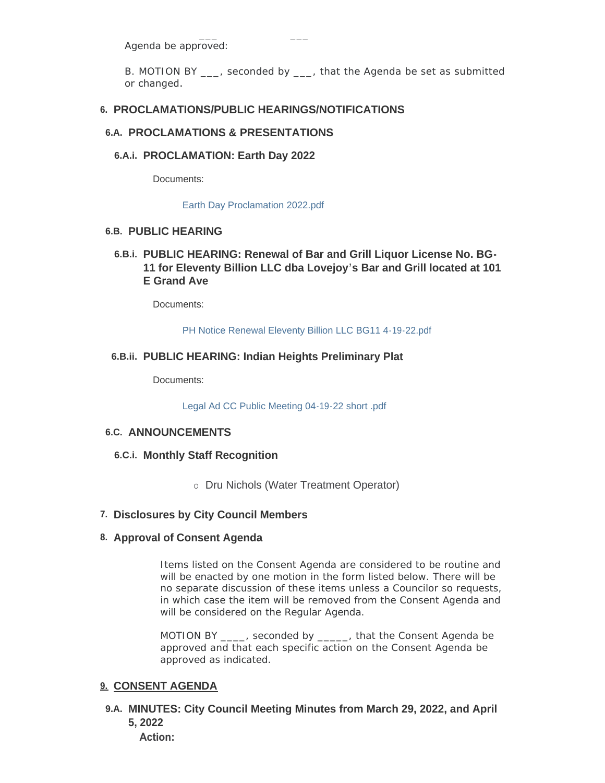Agenda be approved:

B. MOTION BY , seconded by , that the Agenda be set as submitted or changed.

## **PROCLAMATIONS/PUBLIC HEARINGS/NOTIFICATIONS 6.**

#### **PROCLAMATIONS & PRESENTATIONS 6.A.**

## **PROCLAMATION: Earth Day 2022 6.A.i.**

Documents:

[Earth Day Proclamation 2022.pdf](https://www.cityoflaramie.org/AgendaCenter/ViewFile/Item/12215?fileID=16757)

## **PUBLIC HEARING 6.B.**

## **PUBLIC HEARING: Renewal of Bar and Grill Liquor License No. BG-6.B.i. 11 for Eleventy Billion LLC dba Lovejoy's Bar and Grill located at 101 E Grand Ave**

Documents:

[PH Notice Renewal Eleventy Billion LLC BG11 4-19-22.pdf](https://www.cityoflaramie.org/AgendaCenter/ViewFile/Item/12221?fileID=16762)

## **PUBLIC HEARING: Indian Heights Preliminary Plat 6.B.ii.**

Documents:

[Legal Ad CC Public Meeting 04-19-22 short .pdf](https://www.cityoflaramie.org/AgendaCenter/ViewFile/Item/12225?fileID=16779)

## **ANNOUNCEMENTS 6.C.**

- **Monthly Staff Recognition 6.C.i.**
	- o Dru Nichols (Water Treatment Operator)

## **Disclosures by City Council Members 7.**

#### **Approval of Consent Agenda 8.**

Items listed on the Consent Agenda are considered to be routine and will be enacted by one motion in the form listed below. There will be no separate discussion of these items unless a Councilor so requests, in which case the item will be removed from the Consent Agenda and will be considered on the Regular Agenda.

MOTION BY \_\_\_\_, seconded by \_\_\_\_\_, that the Consent Agenda be approved and that each specific action on the Consent Agenda be approved as indicated.

#### **CONSENT AGENDA 9.**

**MINUTES: City Council Meeting Minutes from March 29, 2022, and April 9.A. 5, 2022**

**Action:**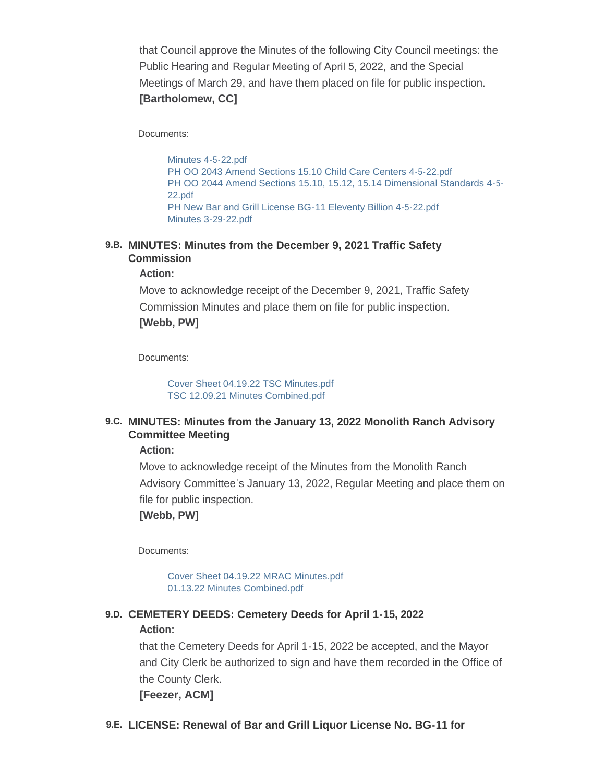that Council approve the Minutes of the following City Council meetings: the Public Hearing and Regular Meeting of April 5, 2022, and the Special Meetings of March 29, and have them placed on file for public inspection. **[Bartholomew, CC]**

Documents:

[Minutes 4-5-22.pdf](https://www.cityoflaramie.org/AgendaCenter/ViewFile/Item/12239?fileID=16782) [PH OO 2043 Amend Sections 15.10 Child Care Centers 4-5-22.pdf](https://www.cityoflaramie.org/AgendaCenter/ViewFile/Item/12239?fileID=16783) [PH OO 2044 Amend Sections 15.10, 15.12, 15.14 Dimensional Standards 4-5-](https://www.cityoflaramie.org/AgendaCenter/ViewFile/Item/12239?fileID=16784) 22.pdf [PH New Bar and Grill License BG-11 Eleventy Billion 4-5-22.pdf](https://www.cityoflaramie.org/AgendaCenter/ViewFile/Item/12239?fileID=16785) [Minutes 3-29-22.pdf](https://www.cityoflaramie.org/AgendaCenter/ViewFile/Item/12239?fileID=16786)

#### **MINUTES: Minutes from the December 9, 2021 Traffic Safety 9.B. Commission**

**Action:**

Move to acknowledge receipt of the December 9, 2021, Traffic Safety Commission Minutes and place them on file for public inspection. **[Webb, PW]**

Documents:

[Cover Sheet 04.19.22 TSC Minutes.pdf](https://www.cityoflaramie.org/AgendaCenter/ViewFile/Item/12209?fileID=16728) [TSC 12.09.21 Minutes Combined.pdf](https://www.cityoflaramie.org/AgendaCenter/ViewFile/Item/12209?fileID=16729)

## **MINUTES: Minutes from the January 13, 2022 Monolith Ranch Advisory 9.C. Committee Meeting**

**Action:**

Move to acknowledge receipt of the Minutes from the Monolith Ranch Advisory Committee's January 13, 2022, Regular Meeting and place them on file for public inspection.

**[Webb, PW]**

Documents:

[Cover Sheet 04.19.22 MRAC Minutes.pdf](https://www.cityoflaramie.org/AgendaCenter/ViewFile/Item/12210?fileID=16730) [01.13.22 Minutes Combined.pdf](https://www.cityoflaramie.org/AgendaCenter/ViewFile/Item/12210?fileID=16731)

## **CEMETERY DEEDS: Cemetery Deeds for April 1-15, 2022 9.D.**

#### **Action:**

that the Cemetery Deeds for April 1-15, 2022 be accepted, and the Mayor and City Clerk be authorized to sign and have them recorded in the Office of the County Clerk. **[Feezer, ACM]**

**LICENSE: Renewal of Bar and Grill Liquor License No. BG-11 for 9.E.**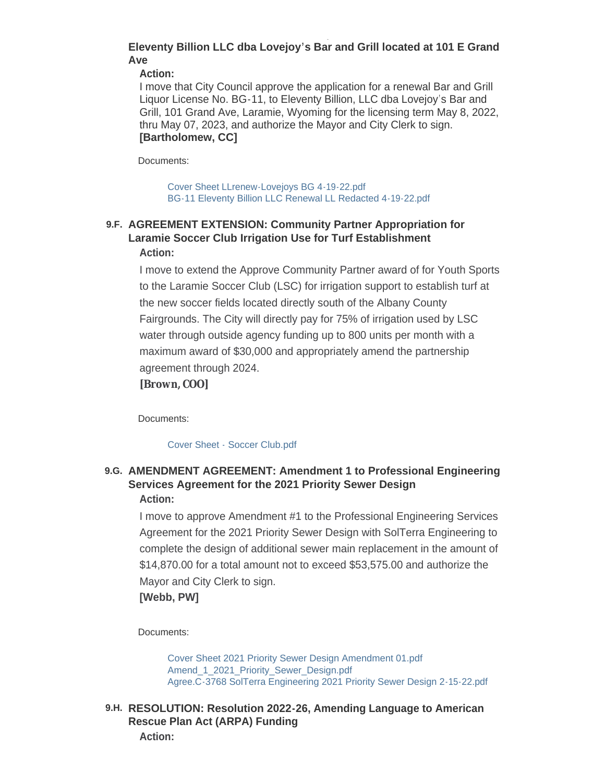## **Eleventy Billion LLC dba Lovejoy's Bar and Grill located at 101 E Grand Ave**

**Action:**

I move that City Council approve the application for a renewal Bar and Grill Liquor License No. BG-11, to Eleventy Billion, LLC dba Lovejoy's Bar and Grill, 101 Grand Ave, Laramie, Wyoming for the licensing term May 8, 2022, thru May 07, 2023, and authorize the Mayor and City Clerk to sign. **[Bartholomew, CC]**

Documents:

[Cover Sheet LLrenew-Lovejoys BG 4-19-22.pdf](https://www.cityoflaramie.org/AgendaCenter/ViewFile/Item/12223?fileID=16774) [BG-11 Eleventy Billion LLC Renewal LL Redacted 4-19-22.pdf](https://www.cityoflaramie.org/AgendaCenter/ViewFile/Item/12223?fileID=16775)

## **AGREEMENT EXTENSION: Community Partner Appropriation for 9.F. Laramie Soccer Club Irrigation Use for Turf Establishment Action:**

I move to extend the Approve Community Partner award of for Youth Sports to the Laramie Soccer Club (LSC) for irrigation support to establish turf at the new soccer fields located directly south of the Albany County Fairgrounds. The City will directly pay for 75% of irrigation used by LSC water through outside agency funding up to 800 units per month with a maximum award of \$30,000 and appropriately amend the partnership agreement through 2024.

## **[Brown, COO]**

Documents:

#### [Cover Sheet - Soccer Club.pdf](https://www.cityoflaramie.org/AgendaCenter/ViewFile/Item/12208?fileID=16727)

## **AMENDMENT AGREEMENT: Amendment 1 to Professional Engineering 9.G. Services Agreement for the 2021 Priority Sewer Design Action:**

I move to approve Amendment #1 to the Professional Engineering Services Agreement for the 2021 Priority Sewer Design with SolTerra Engineering to complete the design of additional sewer main replacement in the amount of \$14,870.00 for a total amount not to exceed \$53,575.00 and authorize the Mayor and City Clerk to sign.

**[Webb, PW]**

Documents:

[Cover Sheet 2021 Priority Sewer Design Amendment 01.pdf](https://www.cityoflaramie.org/AgendaCenter/ViewFile/Item/12214?fileID=16741) Amend 1\_2021\_Priority\_Sewer\_Design.pdf [Agree.C-3768 SolTerra Engineering 2021 Priority Sewer Design 2-15-22.pdf](https://www.cityoflaramie.org/AgendaCenter/ViewFile/Item/12214?fileID=16742)

**RESOLUTION: Resolution 2022-26, Amending Language to American 9.H. Rescue Plan Act (ARPA) Funding Action:**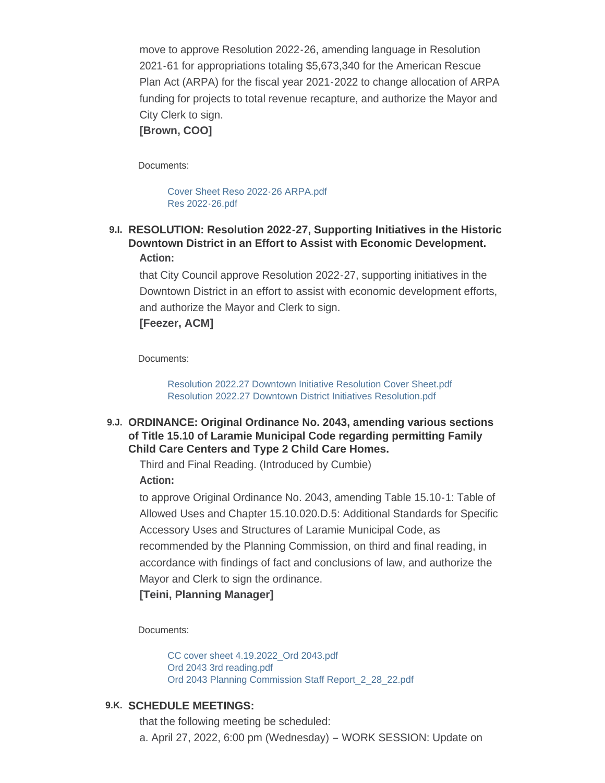move to approve Resolution 2022-26, amending language in Resolution 2021-61 for appropriations totaling \$5,673,340 for the American Rescue Plan Act (ARPA) for the fiscal year 2021-2022 to change allocation of ARPA funding for projects to total revenue recapture, and authorize the Mayor and City Clerk to sign.

## **[Brown, COO]**

Documents:

[Cover Sheet Reso 2022-26 ARPA.pdf](https://www.cityoflaramie.org/AgendaCenter/ViewFile/Item/12217?fileID=16789) [Res 2022-26.pdf](https://www.cityoflaramie.org/AgendaCenter/ViewFile/Item/12217?fileID=16752)

## **RESOLUTION: Resolution 2022-27, Supporting Initiatives in the Historic 9.I. Downtown District in an Effort to Assist with Economic Development. Action:**

that City Council approve Resolution 2022-27, supporting initiatives in the Downtown District in an effort to assist with economic development efforts, and authorize the Mayor and Clerk to sign.

#### **[Feezer, ACM]**

Documents:

[Resolution 2022.27 Downtown Initiative Resolution Cover Sheet.pdf](https://www.cityoflaramie.org/AgendaCenter/ViewFile/Item/12220?fileID=16760) [Resolution 2022.27 Downtown District Initiatives Resolution.pdf](https://www.cityoflaramie.org/AgendaCenter/ViewFile/Item/12220?fileID=16761)

## **ORDINANCE: Original Ordinance No. 2043, amending various sections 9.J. of Title 15.10 of Laramie Municipal Code regarding permitting Family Child Care Centers and Type 2 Child Care Homes.**

Third and Final Reading. (Introduced by Cumbie) **Action:**

to approve Original Ordinance No. 2043, amending Table 15.10-1: Table of Allowed Uses and Chapter 15.10.020.D.5: Additional Standards for Specific Accessory Uses and Structures of Laramie Municipal Code, as recommended by the Planning Commission, on third and final reading, in accordance with findings of fact and conclusions of law, and authorize the Mayor and Clerk to sign the ordinance.

## **[Teini, Planning Manager]**

Documents:

[CC cover sheet 4.19.2022\\_Ord 2043.pdf](https://www.cityoflaramie.org/AgendaCenter/ViewFile/Item/12247?fileID=16807) [Ord 2043 3rd reading.pdf](https://www.cityoflaramie.org/AgendaCenter/ViewFile/Item/12247?fileID=16808) [Ord 2043 Planning Commission Staff Report\\_2\\_28\\_22.pdf](https://www.cityoflaramie.org/AgendaCenter/ViewFile/Item/12247?fileID=16809)

#### **SCHEDULE MEETINGS: 9.K.**

that the following meeting be scheduled: a. April 27, 2022, 6:00 pm (Wednesday) – WORK SESSION: Update on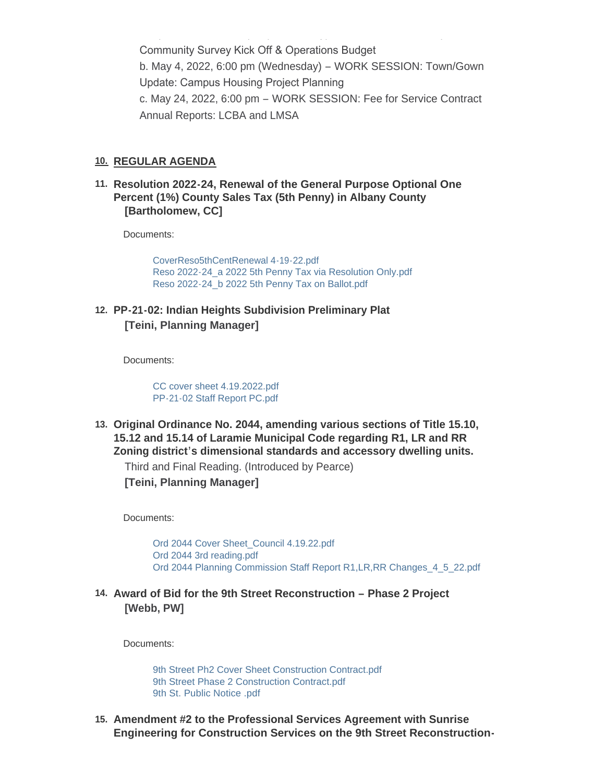Community Survey Kick Off & Operations Budget b. May 4, 2022, 6:00 pm (Wednesday) – WORK SESSION: Town/Gown Update: Campus Housing Project Planning c. May 24, 2022, 6:00 pm – WORK SESSION: Fee for Service Contract Annual Reports: LCBA and LMSA

a. April 27, 2022, 6:00 pm (Wednesday) – WORK SESSION: Update on

#### **REGULAR AGENDA 10.**

**Resolution 2022-24, Renewal of the General Purpose Optional One 11. Percent (1%) County Sales Tax (5th Penny) in Albany County [Bartholomew, CC]**

Documents:

[CoverReso5thCentRenewal 4-19-22.pdf](https://www.cityoflaramie.org/AgendaCenter/ViewFile/Item/12246?fileID=16823) [Reso 2022-24\\_a 2022 5th Penny Tax via Resolution Only.pdf](https://www.cityoflaramie.org/AgendaCenter/ViewFile/Item/12246?fileID=16826) [Reso 2022-24\\_b 2022 5th Penny Tax on Ballot.pdf](https://www.cityoflaramie.org/AgendaCenter/ViewFile/Item/12246?fileID=16827)

**PP-21-02: Indian Heights Subdivision Preliminary Plat 12. [Teini, Planning Manager]**

Documents:

[CC cover sheet 4.19.2022.pdf](https://www.cityoflaramie.org/AgendaCenter/ViewFile/Item/12219?fileID=16758) [PP-21-02 Staff Report PC.pdf](https://www.cityoflaramie.org/AgendaCenter/ViewFile/Item/12219?fileID=16759)

**Original Ordinance No. 2044, amending various sections of Title 15.10, 13. 15.12 and 15.14 of Laramie Municipal Code regarding R1, LR and RR Zoning district's dimensional standards and accessory dwelling units.**

Third and Final Reading. (Introduced by Pearce)

**[Teini, Planning Manager]**

Documents:

[Ord 2044 Cover Sheet\\_Council 4.19.22.pdf](https://www.cityoflaramie.org/AgendaCenter/ViewFile/Item/12248?fileID=16810) [Ord 2044 3rd reading.pdf](https://www.cityoflaramie.org/AgendaCenter/ViewFile/Item/12248?fileID=16811) [Ord 2044 Planning Commission Staff Report R1,LR,RR Changes\\_4\\_5\\_22.pdf](https://www.cityoflaramie.org/AgendaCenter/ViewFile/Item/12248?fileID=16812)

**Award of Bid for the 9th Street Reconstruction – Phase 2 Project 14. [Webb, PW]**

Documents:

[9th Street Ph2 Cover Sheet Construction Contract.pdf](https://www.cityoflaramie.org/AgendaCenter/ViewFile/Item/12211?fileID=16732) [9th Street Phase 2 Construction Contract.pdf](https://www.cityoflaramie.org/AgendaCenter/ViewFile/Item/12211?fileID=16733) [9th St. Public Notice .pdf](https://www.cityoflaramie.org/AgendaCenter/ViewFile/Item/12211?fileID=16734)

**Amendment #2 to the Professional Services Agreement with Sunrise 15. Engineering for Construction Services on the 9th Street Reconstruction-**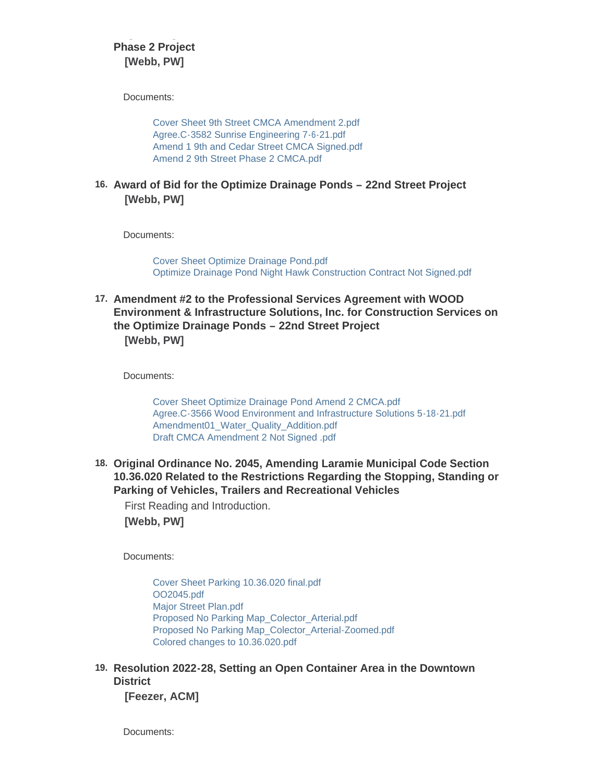## **Engineering for Construction Services on the 9th Street Reconstruction-Phase 2 Project [Webb, PW]**

Documents:

[Cover Sheet 9th Street CMCA Amendment 2.pdf](https://www.cityoflaramie.org/AgendaCenter/ViewFile/Item/12212?fileID=16735) [Agree.C-3582 Sunrise Engineering 7-6-21.pdf](https://www.cityoflaramie.org/AgendaCenter/ViewFile/Item/12212?fileID=16736) [Amend 1 9th and Cedar Street CMCA Signed.pdf](https://www.cityoflaramie.org/AgendaCenter/ViewFile/Item/12212?fileID=16737) [Amend 2 9th Street Phase 2 CMCA.pdf](https://www.cityoflaramie.org/AgendaCenter/ViewFile/Item/12212?fileID=16738)

**Award of Bid for the Optimize Drainage Ponds – 22nd Street Project 16. [Webb, PW]**

Documents:

[Cover Sheet Optimize Drainage Pond.pdf](https://www.cityoflaramie.org/AgendaCenter/ViewFile/Item/12213?fileID=16739) [Optimize Drainage Pond Night Hawk Construction Contract Not Signed.pdf](https://www.cityoflaramie.org/AgendaCenter/ViewFile/Item/12213?fileID=16740)

**Amendment #2 to the Professional Services Agreement with WOOD 17. Environment & Infrastructure Solutions, Inc. for Construction Services on the Optimize Drainage Ponds – 22nd Street Project [Webb, PW]**

Documents:

[Cover Sheet Optimize Drainage Pond Amend 2 CMCA.pdf](https://www.cityoflaramie.org/AgendaCenter/ViewFile/Item/12218?fileID=16753) [Agree.C-3566 Wood Environment and Infrastructure Solutions 5-18-21.pdf](https://www.cityoflaramie.org/AgendaCenter/ViewFile/Item/12218?fileID=16754) [Amendment01\\_Water\\_Quality\\_Addition.pdf](https://www.cityoflaramie.org/AgendaCenter/ViewFile/Item/12218?fileID=16755) [Draft CMCA Amendment 2 Not Signed .pdf](https://www.cityoflaramie.org/AgendaCenter/ViewFile/Item/12218?fileID=16756)

**Original Ordinance No. 2045, Amending Laramie Municipal Code Section 18. 10.36.020 Related to the Restrictions Regarding the Stopping, Standing or Parking of Vehicles, Trailers and Recreational Vehicles**

First Reading and Introduction. **[Webb, PW]**

Documents:

[Cover Sheet Parking 10.36.020 final.pdf](https://www.cityoflaramie.org/AgendaCenter/ViewFile/Item/12216?fileID=16833) [OO2045.pdf](https://www.cityoflaramie.org/AgendaCenter/ViewFile/Item/12216?fileID=16829) [Major Street Plan.pdf](https://www.cityoflaramie.org/AgendaCenter/ViewFile/Item/12216?fileID=16746) [Proposed No Parking Map\\_Colector\\_Arterial.pdf](https://www.cityoflaramie.org/AgendaCenter/ViewFile/Item/12216?fileID=16747) [Proposed No Parking Map\\_Colector\\_Arterial-Zoomed.pdf](https://www.cityoflaramie.org/AgendaCenter/ViewFile/Item/12216?fileID=16748) [Colored changes to 10.36.020.pdf](https://www.cityoflaramie.org/AgendaCenter/ViewFile/Item/12216?fileID=16750)

**Resolution 2022-28, Setting an Open Container Area in the Downtown 19. District** 

**[Feezer, ACM]**

Documents: